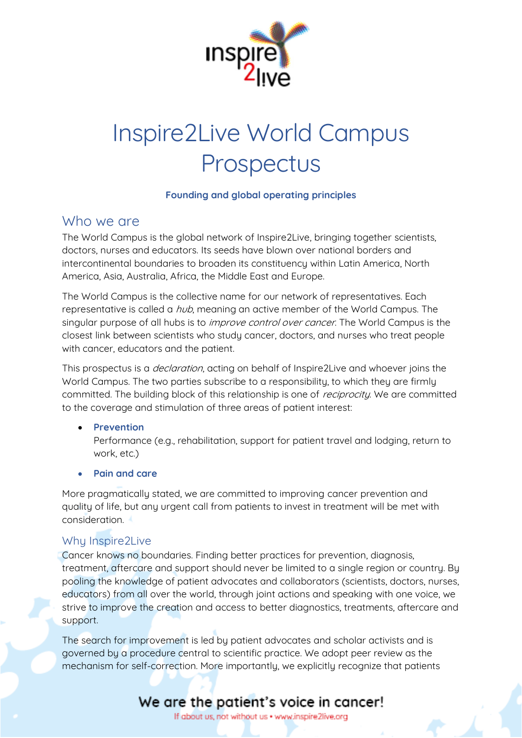

# Inspire2Live World Campus Prospectus

#### **Founding and global operating principles**

#### Who we are

The World Campus is the global network of Inspire2Live, bringing together scientists, doctors, nurses and educators. Its seeds have blown over national borders and intercontinental boundaries to broaden its constituency within Latin America, North America, Asia, Australia, Africa, the Middle East and Europe.

The World Campus is the collective name for our network of representatives. Each representative is called a *hub*, meaning an active member of the World Campus. The singular purpose of all hubs is to *improve control over cancer*. The World Campus is the closest link between scientists who study cancer, doctors, and nurses who treat people with cancer, educators and the patient.

This prospectus is a *declaration*, acting on behalf of Inspire2Live and whoever joins the World Campus. The two parties subscribe to a responsibility, to which they are firmly committed. The building block of this relationship is one of *reciprocity*. We are committed to the coverage and stimulation of three areas of patient interest:

#### • **Prevention**

Performance (e.g., rehabilitation, support for patient travel and lodging, return to work, etc.)

#### • **Pain and care**

More pragmatically stated, we are committed to improving cancer prevention and quality of life, but any urgent call from patients to invest in treatment will be met with consideration.

#### Why Inspire2Live

Cancer knows no boundaries. Finding better practices for prevention, diagnosis, treatment, aftercare and support should never be limited to a single region or country. By pooling the knowledge of patient advocates and collaborators (scientists, doctors, nurses, educators) from all over the world, through joint actions and speaking with one voice, we strive to improve the creation and access to better diagnostics, treatments, aftercare and support.

The search for improvement is led by patient advocates and scholar activists and is governed by a procedure central to scientific practice. We adopt peer review as the mechanism for self-correction. More importantly, we explicitly recognize that patients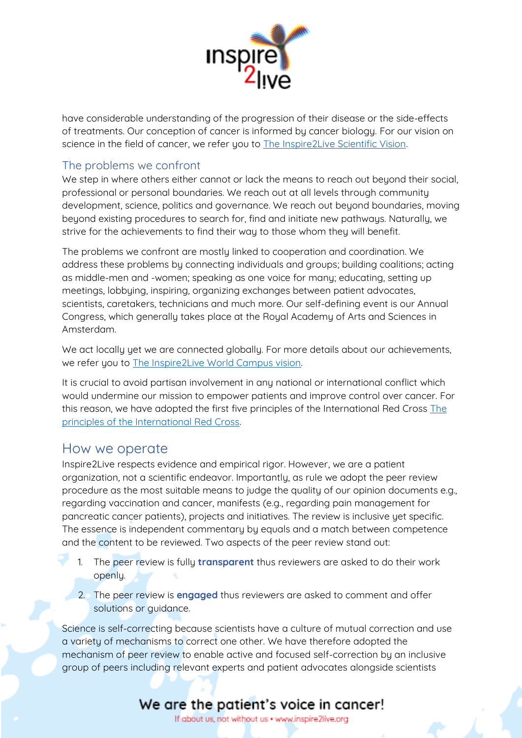

have considerable understanding of the progression of their disease or the side-effects of treatments. Our conception of cancer is informed by cancer biology. For our vision on science in the field of cancer, we refer you to [The Inspire2Live Scientific Vision.](https://inspire2live.org/scientific-vision/)

#### The problems we confront

We step in where others either cannot or lack the means to reach out beyond their social, professional or personal boundaries. We reach out at all levels through community development, science, politics and governance. We reach out beyond boundaries, moving beyond existing procedures to search for, find and initiate new pathways. Naturally, we strive for the achievements to find their way to those whom they will benefit.

The problems we confront are mostly linked to cooperation and coordination. We address these problems by connecting individuals and groups; building coalitions; acting as middle-men and -women; speaking as one voice for many; educating, setting up meetings, lobbying, inspiring, organizing exchanges between patient advocates, scientists, caretakers, technicians and much more. Our self-defining event is our Annual Congress, which generally takes place at the Royal Academy of Arts and Sciences in Amsterdam.

We act locally yet we are connected globally. For more details about our achievements, we refer you to [The Inspire2Live World Campus vision.](https://inspire2live.org/wp-content/uploads/Inspire2Live-World-Campus-Vision.pdf)

It is crucial to avoid partisan involvement in any national or international conflict which would undermine our mission to empower patients and improve control over cancer. For this reason, we have adopted the first five principles of the International Red Cross [The](https://www.icrc.org/en/document/fundamental-principles-red-cross-and-red-crescent)  [principles of the International Red Cross.](https://www.icrc.org/en/document/fundamental-principles-red-cross-and-red-crescent)

## How we operate

Inspire2Live respects evidence and empirical rigor. However, we are a patient organization, not a scientific endeavor. Importantly, as rule we adopt the peer review procedure as the most suitable means to judge the quality of our opinion documents e.g., regarding vaccination and cancer, manifests (e.g., regarding pain management for pancreatic cancer patients), projects and initiatives. The review is inclusive yet specific. The essence is independent commentary by equals and a match between competence and the content to be reviewed. Two aspects of the peer review stand out:

- 1. The peer review is fully **transparent** thus reviewers are asked to do their work openly.
- 2. The peer review is **engaged** thus reviewers are asked to comment and offer solutions or guidance.

Science is self-correcting because scientists have a culture of mutual correction and use a variety of mechanisms to correct one other. We have therefore adopted the mechanism of peer review to enable active and focused self-correction by an inclusive group of peers including relevant experts and patient advocates alongside scientists

# We are the patient's voice in cancer!

If about us, not without us . www.inspire2live.org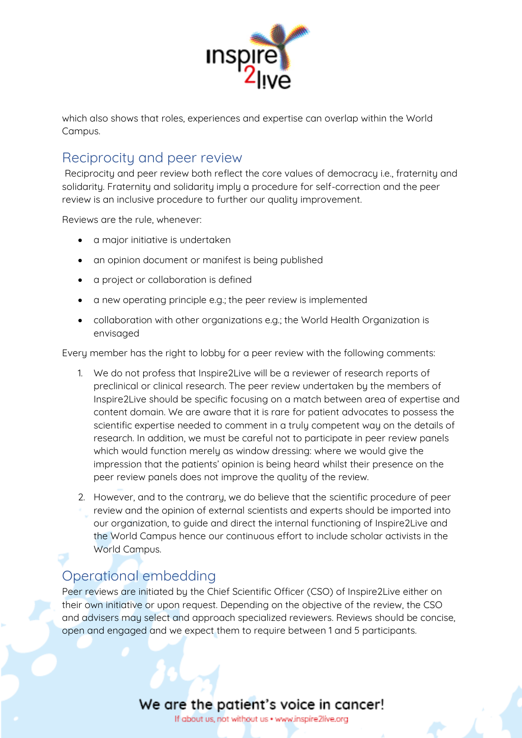

which also shows that roles, experiences and expertise can overlap within the World Campus.

## Reciprocity and peer review

Reciprocity and peer review both reflect the core values of democracy i.e., fraternity and solidarity. Fraternity and solidarity imply a procedure for self-correction and the peer review is an inclusive procedure to further our quality improvement.

Reviews are the rule, whenever:

- a major initiative is undertaken
- an opinion document or manifest is being published
- a project or collaboration is defined
- a new operating principle e.g.; the peer review is implemented
- collaboration with other organizations e.g.; the World Health Organization is envisaged

Every member has the right to lobby for a peer review with the following comments:

- 1. We do not profess that Inspire2Live will be a reviewer of research reports of preclinical or clinical research. The peer review undertaken by the members of Inspire2Live should be specific focusing on a match between area of expertise and content domain. We are aware that it is rare for patient advocates to possess the scientific expertise needed to comment in a truly competent way on the details of research. In addition, we must be careful not to participate in peer review panels which would function merely as window dressing: where we would give the impression that the patients' opinion is being heard whilst their presence on the peer review panels does not improve the quality of the review.
- 2. However, and to the contrary, we do believe that the scientific procedure of peer review and the opinion of external scientists and experts should be imported into our organization, to guide and direct the internal functioning of Inspire2Live and the World Campus hence our continuous effort to include scholar activists in the World Campus.

# Operational embedding

Peer reviews are initiated by the Chief Scientific Officer (CSO) of Inspire2Live either on their own initiative or upon request. Depending on the objective of the review, the CSO and advisers may select and approach specialized reviewers. Reviews should be concise, open and engaged and we expect them to require between 1 and 5 participants.

## We are the patient's voice in cancer!

If about us, not without us . www.inspire2live.org